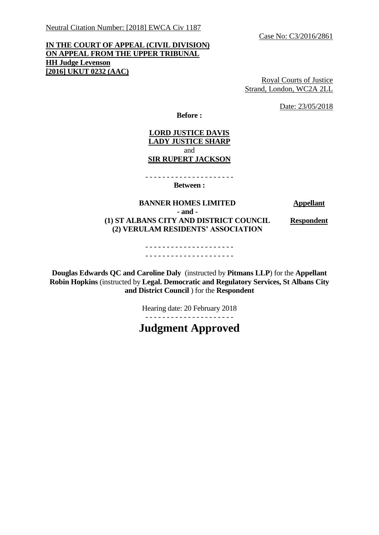Case No: C3/2016/2861

# **IN THE COURT OF APPEAL (CIVIL DIVISION) ON APPEAL FROM THE UPPER TRIBUNAL HH Judge Levenson [2016] UKUT 0232 (AAC)**

Royal Courts of Justice Strand, London, WC2A 2LL

Date: 23/05/2018

**Before :**

## **LORD JUSTICE DAVIS LADY JUSTICE SHARP** and **SIR RUPERT JACKSON**

- - - - - - - - - - - - - - - - - - - - - **Between :**

**BANNER HOMES LIMITED Appellant**

**- and -**

**(1) ST ALBANS CITY AND DISTRICT COUNCIL (2) VERULAM RESIDENTS' ASSOCIATION** 

**Respondent**

- - - - - - - - - - - - - - - - - - - - - - - - - - - - - - - - - - - - - - - - - -

**Douglas Edwards QC and Caroline Daly** (instructed by **Pitmans LLP**) for the **Appellant Robin Hopkins** (instructed by **Legal. Democratic and Regulatory Services, St Albans City and District Council** ) for the **Respondent**

Hearing date: 20 February 2018

- - - - - - - - - - - - - - - - - - - - -

**Judgment Approved**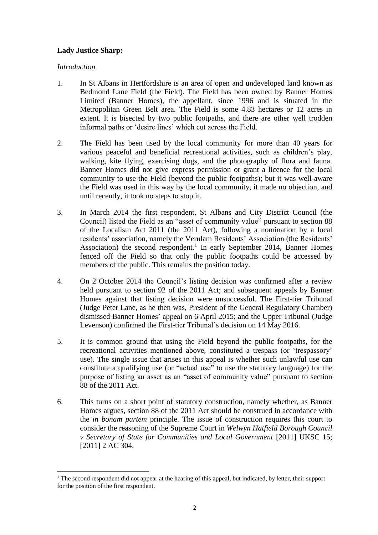## **Lady Justice Sharp:**

## *Introduction*

 $\overline{a}$ 

- 1. In St Albans in Hertfordshire is an area of open and undeveloped land known as Bedmond Lane Field (the Field). The Field has been owned by Banner Homes Limited (Banner Homes), the appellant, since 1996 and is situated in the Metropolitan Green Belt area. The Field is some 4.83 hectares or 12 acres in extent. It is bisected by two public footpaths, and there are other well trodden informal paths or 'desire lines' which cut across the Field.
- 2. The Field has been used by the local community for more than 40 years for various peaceful and beneficial recreational activities, such as children's play, walking, kite flying, exercising dogs, and the photography of flora and fauna. Banner Homes did not give express permission or grant a licence for the local community to use the Field (beyond the public footpaths); but it was well-aware the Field was used in this way by the local community, it made no objection, and until recently, it took no steps to stop it.
- 3. In March 2014 the first respondent, St Albans and City District Council (the Council) listed the Field as an "asset of community value" pursuant to section 88 of the Localism Act 2011 (the 2011 Act), following a nomination by a local residents' association, namely the Verulam Residents' Association (the Residents' Association) the second respondent.<sup>1</sup> In early September 2014, Banner Homes fenced off the Field so that only the public footpaths could be accessed by members of the public. This remains the position today.
- 4. On 2 October 2014 the Council's listing decision was confirmed after a review held pursuant to section 92 of the 2011 Act; and subsequent appeals by Banner Homes against that listing decision were unsuccessful. The First-tier Tribunal (Judge Peter Lane, as he then was, President of the General Regulatory Chamber) dismissed Banner Homes' appeal on 6 April 2015; and the Upper Tribunal (Judge Levenson) confirmed the First-tier Tribunal's decision on 14 May 2016.
- 5. It is common ground that using the Field beyond the public footpaths, for the recreational activities mentioned above, constituted a trespass (or 'trespassory' use). The single issue that arises in this appeal is whether such unlawful use can constitute a qualifying use (or "actual use" to use the statutory language) for the purpose of listing an asset as an "asset of community value" pursuant to section 88 of the 2011 Act.
- 6. This turns on a short point of statutory construction, namely whether, as Banner Homes argues, section 88 of the 2011 Act should be construed in accordance with the *in bonam partem* principle. The issue of construction requires this court to consider the reasoning of the Supreme Court in *Welwyn Hatfield Borough Council v Secretary of State for Communities and Local Government* [2011] UKSC 15; [2011] 2 AC 304.

<sup>&</sup>lt;sup>1</sup> The second respondent did not appear at the hearing of this appeal, but indicated, by letter, their support for the position of the first respondent.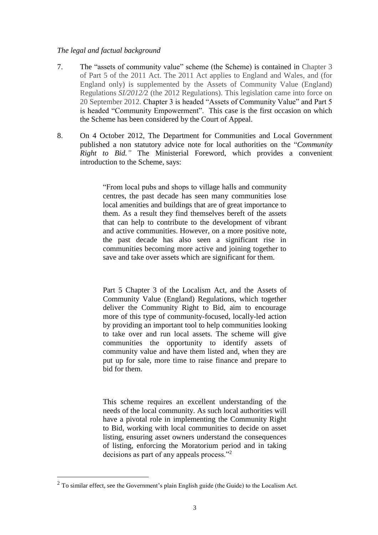## *The legal and factual background*

- 7. The "assets of community value" scheme (the Scheme) is contained in Chapter 3 of Part 5 of the 2011 Act. The 2011 Act applies to England and Wales, and (for England only) is supplemented by the Assets of Community Value (England) Regulations *SI/2012/*2 (the 2012 Regulations). This legislation came into force on 20 September 2012. Chapter 3 is headed "Assets of Community Value" and Part 5 is headed "Community Empowerment". This case is the first occasion on which the Scheme has been considered by the Court of Appeal.
- 8. On 4 October 2012, The Department for Communities and Local Government published a non statutory advice note for local authorities on the "*Community Right to Bid."* The Ministerial Foreword, which provides a convenient introduction to the Scheme, says:

"From local pubs and shops to village halls and community centres, the past decade has seen many communities lose local amenities and buildings that are of great importance to them. As a result they find themselves bereft of the assets that can help to contribute to the development of vibrant and active communities. However, on a more positive note, the past decade has also seen a significant rise in communities becoming more active and joining together to save and take over assets which are significant for them.

Part 5 Chapter 3 of the Localism Act, and the Assets of Community Value (England) Regulations, which together deliver the Community Right to Bid, aim to encourage more of this type of community-focused, locally-led action by providing an important tool to help communities looking to take over and run local assets. The scheme will give communities the opportunity to identify assets of community value and have them listed and, when they are put up for sale, more time to raise finance and prepare to bid for them.

This scheme requires an excellent understanding of the needs of the local community. As such local authorities will have a pivotal role in implementing the Community Right to Bid, working with local communities to decide on asset listing, ensuring asset owners understand the consequences of listing, enforcing the Moratorium period and in taking decisions as part of any appeals process."<sup>2</sup>

 $\overline{a}$ 

 $2$  To similar effect, see the Government's plain English guide (the Guide) to the Localism Act.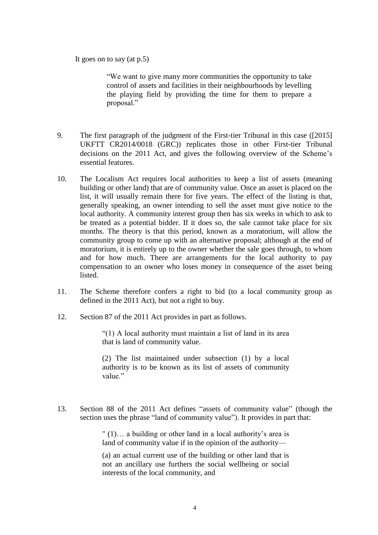It goes on to say (at p.5)

"We want to give many more communities the opportunity to take control of assets and facilities in their neighbourhoods by levelling the playing field by providing the time for them to prepare a proposal."

- 9. The first paragraph of the judgment of the First-tier Tribunal in this case ([2015] UKFTT CR2014/0018 (GRC)) replicates those in other First-tier Tribunal decisions on the 2011 Act, and gives the following overview of the Scheme's essential features.
- 10. The Localism Act requires local authorities to keep a list of assets (meaning building or other land) that are of community value. Once an asset is placed on the list, it will usually remain there for five years. The effect of the listing is that, generally speaking, an owner intending to sell the asset must give notice to the local authority. A community interest group then has six weeks in which to ask to be treated as a potential bidder. If it does so, the sale cannot take place for six months. The theory is that this period, known as a moratorium, will allow the community group to come up with an alternative proposal; although at the end of moratorium, it is entirely up to the owner whether the sale goes through, to whom and for how much. There are arrangements for the local authority to pay compensation to an owner who loses money in consequence of the asset being listed.
- 11. The Scheme therefore confers a right to bid (to a local community group as defined in the 2011 Act), but not a right to buy.
- 12. Section 87 of the 2011 Act provides in part as follows.

"(1) A local authority must maintain a list of land in its area that is land of community value.

(2) The list maintained under subsection (1) by a local authority is to be known as its list of assets of community value."

13. Section 88 of the 2011 Act defines "assets of community value" (though the section uses the phrase "land of community value"). It provides in part that:

> " (1)… a building or other land in a local authority's area is land of community value if in the opinion of the authority—

> (a) an actual current use of the building or other land that is not an ancillary use furthers the social wellbeing or social interests of the local community, and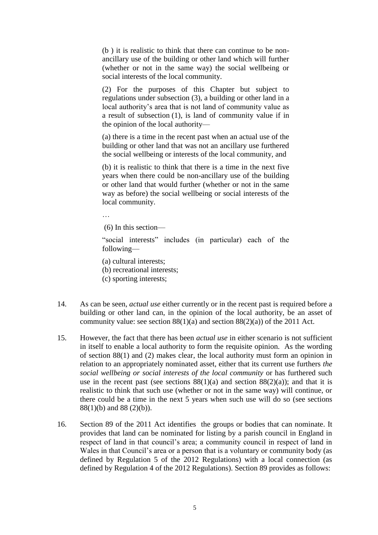(b ) it is realistic to think that there can continue to be nonancillary use of the building or other land which will further (whether or not in the same way) the social wellbeing or social interests of the local community.

(2) For the purposes of this Chapter but subject to regulations under subsection (3), a building or other land in a local authority's area that is not land of community value as a result of subsection (1), is land of community value if in the opinion of the local authority—

(a) there is a time in the recent past when an actual use of the building or other land that was not an ancillary use furthered the social wellbeing or interests of the local community, and

(b) it is realistic to think that there is a time in the next five years when there could be non-ancillary use of the building or other land that would further (whether or not in the same way as before) the social wellbeing or social interests of the local community.

…

(6) In this section—

"social interests" includes (in particular) each of the following—

(a) cultural interests;

- (b) recreational interests;
- (c) sporting interests;
- 14. As can be seen, *actual use* either currently or in the recent past is required before a building or other land can, in the opinion of the local authority, be an asset of community value: see section  $88(1)(a)$  and section  $88(2)(a)$  of the 2011 Act.
- 15. However, the fact that there has been *actual use* in either scenario is not sufficient in itself to enable a local authority to form the requisite opinion. As the wording of section 88(1) and (2) makes clear, the local authority must form an opinion in relation to an appropriately nominated asset, either that its current use furthers *the social wellbeing or social interests of the local community* or has furthered such use in the recent past (see sections  $88(1)(a)$  and section  $88(2)(a)$ ); and that it is realistic to think that such use (whether or not in the same way) will continue, or there could be a time in the next 5 years when such use will do so (see sections 88(1)(b) and 88 (2)(b)).
- 16. Section 89 of the 2011 Act identifies the groups or bodies that can nominate. It provides that land can be nominated for listing by a parish council in England in respect of land in that council's area; a community council in respect of land in Wales in that Council's area or a person that is a voluntary or community body (as defined by Regulation 5 of the 2012 Regulations) with a local connection (as defined by Regulation 4 of the 2012 Regulations). Section 89 provides as follows: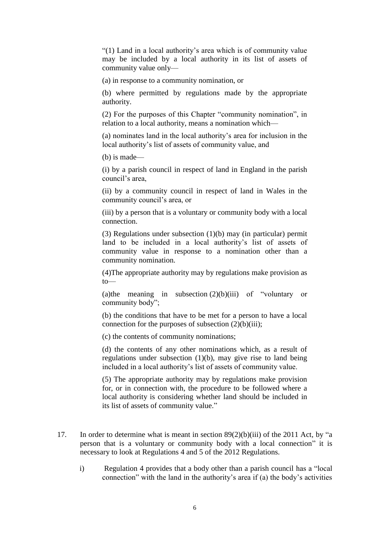"(1) Land in a local authority's area which is of community value may be included by a local authority in its list of assets of community value only—

(a) in response to a community nomination, or

(b) where permitted by regulations made by the appropriate authority.

(2) For the purposes of this Chapter "community nomination", in relation to a local authority, means a nomination which-

(a) nominates land in the local authority's area for inclusion in the local authority's list of assets of community value, and

(b) is made—

(i) by a parish council in respect of land in England in the parish council's area,

(ii) by a community council in respect of land in Wales in the community council's area, or

(iii) by a person that is a voluntary or community body with a local connection.

(3) Regulations under subsection (1)(b) may (in particular) permit land to be included in a local authority's list of assets of community value in response to a nomination other than a community nomination.

(4)The appropriate authority may by regulations make provision as to—

(a)the meaning in subsection  $(2)(b)(iii)$  of "voluntary or community body";

(b) the conditions that have to be met for a person to have a local connection for the purposes of subsection  $(2)(b)(iii)$ ;

(c) the contents of community nominations;

(d) the contents of any other nominations which, as a result of regulations under subsection (1)(b), may give rise to land being included in a local authority's list of assets of community value.

(5) The appropriate authority may by regulations make provision for, or in connection with, the procedure to be followed where a local authority is considering whether land should be included in its list of assets of community value."

- 17. In order to determine what is meant in section 89(2)(b)(iii) of the 2011 Act, by "a person that is a voluntary or community body with a local connection" it is necessary to look at Regulations 4 and 5 of the 2012 Regulations.
	- i) Regulation 4 provides that a body other than a parish council has a "local connection" with the land in the authority's area if (a) the body's activities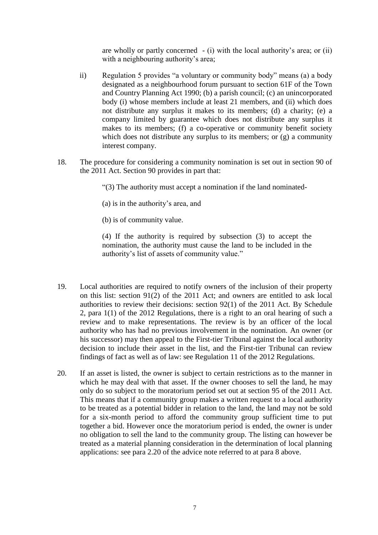are wholly or partly concerned  $-$  (i) with the local authority's area; or (ii) with a neighbouring authority's area;

- ii) Regulation 5 provides "a voluntary or community body" means (a) a body designated as a neighbourhood forum pursuant to section 61F of the Town and Country Planning Act 1990; (b) a parish council; (c) an unincorporated body (i) whose members include at least 21 members, and (ii) which does not distribute any surplus it makes to its members; (d) a charity; (e) a company limited by guarantee which does not distribute any surplus it makes to its members; (f) a co-operative or community benefit society which does not distribute any surplus to its members; or (g) a community interest company.
- 18. The procedure for considering a community nomination is set out in section 90 of the 2011 Act. Section 90 provides in part that:
	- "(3) The authority must accept a nomination if the land nominated-
	- (a) is in the authority's area, and
	- (b) is of community value.

(4) If the authority is required by subsection (3) to accept the nomination, the authority must cause the land to be included in the authority's list of assets of community value."

- 19. Local authorities are required to notify owners of the inclusion of their property on this list: section 91(2) of the 2011 Act; and owners are entitled to ask local authorities to review their decisions: section 92(1) of the 2011 Act. By Schedule 2, para 1(1) of the 2012 Regulations, there is a right to an oral hearing of such a review and to make representations. The review is by an officer of the local authority who has had no previous involvement in the nomination. An owner (or his successor) may then appeal to the First-tier Tribunal against the local authority decision to include their asset in the list, and the First-tier Tribunal can review findings of fact as well as of law: see Regulation 11 of the 2012 Regulations.
- 20. If an asset is listed, the owner is subject to certain restrictions as to the manner in which he may deal with that asset. If the owner chooses to sell the land, he may only do so subject to the moratorium period set out at section 95 of the 2011 Act. This means that if a community group makes a written request to a local authority to be treated as a potential bidder in relation to the land, the land may not be sold for a six-month period to afford the community group sufficient time to put together a bid. However once the moratorium period is ended, the owner is under no obligation to sell the land to the community group. The listing can however be treated as a material planning consideration in the determination of local planning applications: see para 2.20 of the advice note referred to at para 8 above.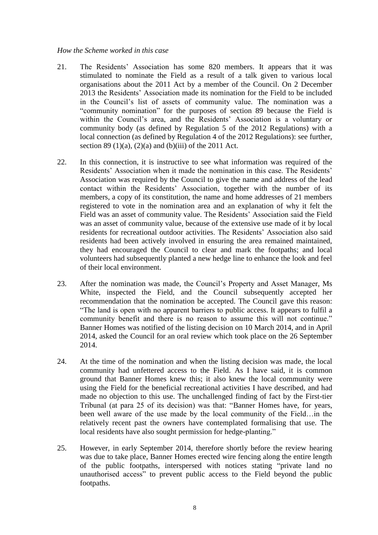#### *How the Scheme worked in this case*

- 21. The Residents' Association has some 820 members. It appears that it was stimulated to nominate the Field as a result of a talk given to various local organisations about the 2011 Act by a member of the Council. On 2 December 2013 the Residents' Association made its nomination for the Field to be included in the Council's list of assets of community value. The nomination was a "community nomination" for the purposes of section 89 because the Field is within the Council's area, and the Residents' Association is a voluntary or community body (as defined by Regulation 5 of the 2012 Regulations) with a local connection (as defined by Regulation 4 of the 2012 Regulations): see further, section 89 (1)(a), (2)(a) and (b)(iii) of the 2011 Act.
- 22. In this connection, it is instructive to see what information was required of the Residents' Association when it made the nomination in this case. The Residents' Association was required by the Council to give the name and address of the lead contact within the Residents' Association, together with the number of its members, a copy of its constitution, the name and home addresses of 21 members registered to vote in the nomination area and an explanation of why it felt the Field was an asset of community value. The Residents' Association said the Field was an asset of community value, because of the extensive use made of it by local residents for recreational outdoor activities. The Residents' Association also said residents had been actively involved in ensuring the area remained maintained, they had encouraged the Council to clear and mark the footpaths; and local volunteers had subsequently planted a new hedge line to enhance the look and feel of their local environment.
- 23. After the nomination was made, the Council's Property and Asset Manager, Ms White, inspected the Field, and the Council subsequently accepted her recommendation that the nomination be accepted. The Council gave this reason: "The land is open with no apparent barriers to public access. It appears to fulfil a community benefit and there is no reason to assume this will not continue." Banner Homes was notified of the listing decision on 10 March 2014, and in April 2014, asked the Council for an oral review which took place on the 26 September 2014.
- 24. At the time of the nomination and when the listing decision was made, the local community had unfettered access to the Field. As I have said, it is common ground that Banner Homes knew this; it also knew the local community were using the Field for the beneficial recreational activities I have described, and had made no objection to this use. The unchallenged finding of fact by the First-tier Tribunal (at para 25 of its decision) was that: "Banner Homes have, for years, been well aware of the use made by the local community of the Field…in the relatively recent past the owners have contemplated formalising that use. The local residents have also sought permission for hedge-planting."
- 25. However, in early September 2014, therefore shortly before the review hearing was due to take place, Banner Homes erected wire fencing along the entire length of the public footpaths, interspersed with notices stating "private land no unauthorised access" to prevent public access to the Field beyond the public footpaths.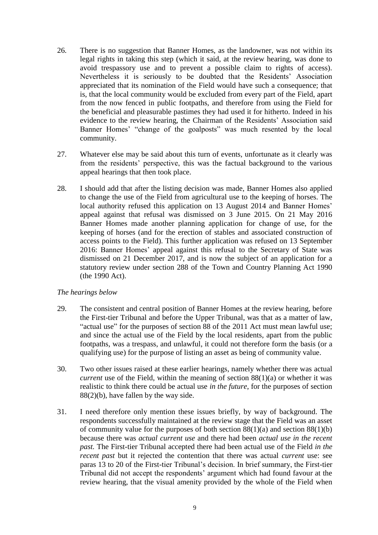- 26. There is no suggestion that Banner Homes, as the landowner, was not within its legal rights in taking this step (which it said, at the review hearing, was done to avoid trespassory use and to prevent a possible claim to rights of access). Nevertheless it is seriously to be doubted that the Residents' Association appreciated that its nomination of the Field would have such a consequence; that is, that the local community would be excluded from every part of the Field, apart from the now fenced in public footpaths, and therefore from using the Field for the beneficial and pleasurable pastimes they had used it for hitherto. Indeed in his evidence to the review hearing, the Chairman of the Residents' Association said Banner Homes' "change of the goalposts" was much resented by the local community.
- 27. Whatever else may be said about this turn of events, unfortunate as it clearly was from the residents' perspective, this was the factual background to the various appeal hearings that then took place.
- 28. I should add that after the listing decision was made, Banner Homes also applied to change the use of the Field from agricultural use to the keeping of horses. The local authority refused this application on 13 August 2014 and Banner Homes' appeal against that refusal was dismissed on 3 June 2015. On 21 May 2016 Banner Homes made another planning application for change of use, for the keeping of horses (and for the erection of stables and associated construction of access points to the Field). This further application was refused on 13 September 2016: Banner Homes' appeal against this refusal to the Secretary of State was dismissed on 21 December 2017, and is now the subject of an application for a statutory review under section 288 of the Town and Country Planning Act 1990 (the 1990 Act).

## *The hearings below*

- 29. The consistent and central position of Banner Homes at the review hearing, before the First-tier Tribunal and before the Upper Tribunal, was that as a matter of law, "actual use" for the purposes of section 88 of the 2011 Act must mean lawful use; and since the actual use of the Field by the local residents, apart from the public footpaths, was a trespass, and unlawful, it could not therefore form the basis (or a qualifying use) for the purpose of listing an asset as being of community value.
- 30. Two other issues raised at these earlier hearings, namely whether there was actual *current* use of the Field, within the meaning of section  $88(1)(a)$  or whether it was realistic to think there could be actual use *in the future*, for the purposes of section 88(2)(b), have fallen by the way side.
- 31. I need therefore only mention these issues briefly, by way of background. The respondents successfully maintained at the review stage that the Field was an asset of community value for the purposes of both section  $88(1)(a)$  and section  $88(1)(b)$ because there was *actual current use* and there had been *actual use in the recent past.* The First-tier Tribunal accepted there had been actual use of the Field *in the recent past* but it rejected the contention that there was actual *current* use: see paras 13 to 20 of the First-tier Tribunal's decision. In brief summary, the First-tier Tribunal did not accept the respondents' argument which had found favour at the review hearing, that the visual amenity provided by the whole of the Field when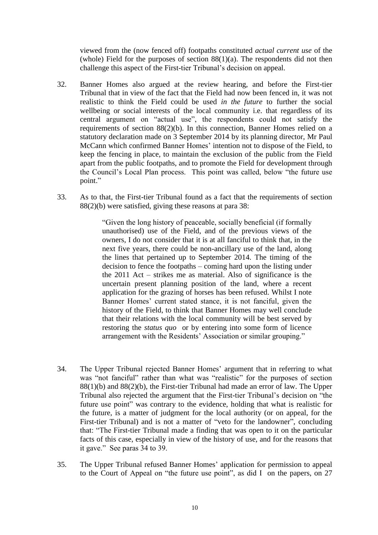viewed from the (now fenced off) footpaths constituted *actual current use* of the (whole) Field for the purposes of section  $88(1)(a)$ . The respondents did not then challenge this aspect of the First-tier Tribunal's decision on appeal.

- 32. Banner Homes also argued at the review hearing, and before the First-tier Tribunal that in view of the fact that the Field had now been fenced in, it was not realistic to think the Field could be used *in the future* to further the social wellbeing or social interests of the local community i.e. that regardless of its central argument on "actual use", the respondents could not satisfy the requirements of section 88(2)(b). In this connection, Banner Homes relied on a statutory declaration made on 3 September 2014 by its planning director, Mr Paul McCann which confirmed Banner Homes' intention not to dispose of the Field, to keep the fencing in place, to maintain the exclusion of the public from the Field apart from the public footpaths, and to promote the Field for development through the Council's Local Plan process. This point was called, below "the future use point."
- 33. As to that, the First-tier Tribunal found as a fact that the requirements of section 88(2)(b) were satisfied, giving these reasons at para 38:

"Given the long history of peaceable, socially beneficial (if formally unauthorised) use of the Field, and of the previous views of the owners, I do not consider that it is at all fanciful to think that, in the next five years, there could be non-ancillary use of the land, along the lines that pertained up to September 2014. The timing of the decision to fence the footpaths – coming hard upon the listing under the 2011 Act – strikes me as material. Also of significance is the uncertain present planning position of the land, where a recent application for the grazing of horses has been refused. Whilst I note Banner Homes' current stated stance, it is not fanciful, given the history of the Field, to think that Banner Homes may well conclude that their relations with the local community will be best served by restoring the *status quo* or by entering into some form of licence arrangement with the Residents' Association or similar grouping."

- 34. The Upper Tribunal rejected Banner Homes' argument that in referring to what was "not fanciful" rather than what was "realistic" for the purposes of section 88(1)(b) and 88(2)(b), the First-tier Tribunal had made an error of law. The Upper Tribunal also rejected the argument that the First-tier Tribunal's decision on "the future use point" was contrary to the evidence, holding that what is realistic for the future, is a matter of judgment for the local authority (or on appeal, for the First-tier Tribunal) and is not a matter of "veto for the landowner", concluding that: "The First-tier Tribunal made a finding that was open to it on the particular facts of this case, especially in view of the history of use, and for the reasons that it gave." See paras 34 to 39.
- 35. The Upper Tribunal refused Banner Homes' application for permission to appeal to the Court of Appeal on "the future use point", as did I on the papers, on 27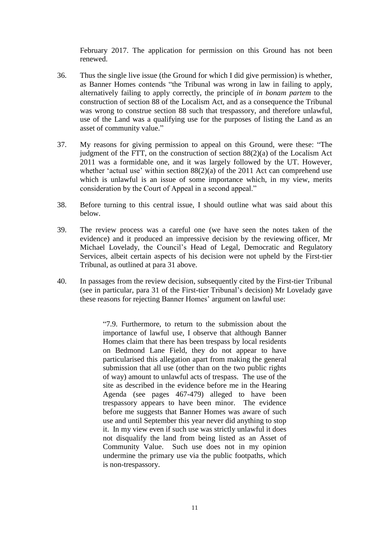February 2017. The application for permission on this Ground has not been renewed.

- 36. Thus the single live issue (the Ground for which I did give permission) is whether, as Banner Homes contends "the Tribunal was wrong in law in failing to apply, alternatively failing to apply correctly, the principle of *in bonam partem* to the construction of section 88 of the Localism Act, and as a consequence the Tribunal was wrong to construe section 88 such that trespassory, and therefore unlawful, use of the Land was a qualifying use for the purposes of listing the Land as an asset of community value."
- 37. My reasons for giving permission to appeal on this Ground, were these: "The judgment of the FTT, on the construction of section  $88(2)(a)$  of the Localism Act 2011 was a formidable one, and it was largely followed by the UT. However, whether 'actual use' within section  $88(2)(a)$  of the 2011 Act can comprehend use which is unlawful is an issue of some importance which, in my view, merits consideration by the Court of Appeal in a second appeal."
- 38. Before turning to this central issue, I should outline what was said about this below.
- 39. The review process was a careful one (we have seen the notes taken of the evidence) and it produced an impressive decision by the reviewing officer, Mr Michael Lovelady, the Council's Head of Legal, Democratic and Regulatory Services, albeit certain aspects of his decision were not upheld by the First-tier Tribunal, as outlined at para 31 above.
- 40. In passages from the review decision, subsequently cited by the First-tier Tribunal (see in particular, para 31 of the First-tier Tribunal's decision) Mr Lovelady gave these reasons for rejecting Banner Homes' argument on lawful use:

"7.9. Furthermore, to return to the submission about the importance of lawful use, I observe that although Banner Homes claim that there has been trespass by local residents on Bedmond Lane Field, they do not appear to have particularised this allegation apart from making the general submission that all use (other than on the two public rights of way) amount to unlawful acts of trespass. The use of the site as described in the evidence before me in the Hearing Agenda (see pages 467-479) alleged to have been trespassory appears to have been minor. The evidence before me suggests that Banner Homes was aware of such use and until September this year never did anything to stop it. In my view even if such use was strictly unlawful it does not disqualify the land from being listed as an Asset of Community Value. Such use does not in my opinion undermine the primary use via the public footpaths, which is non-trespassory.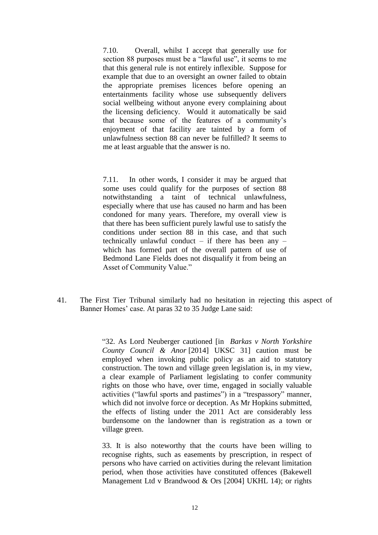7.10. Overall, whilst I accept that generally use for section 88 purposes must be a "lawful use", it seems to me that this general rule is not entirely inflexible. Suppose for example that due to an oversight an owner failed to obtain the appropriate premises licences before opening an entertainments facility whose use subsequently delivers social wellbeing without anyone every complaining about the licensing deficiency. Would it automatically be said that because some of the features of a community's enjoyment of that facility are tainted by a form of unlawfulness section 88 can never be fulfilled? It seems to me at least arguable that the answer is no.

7.11. In other words, I consider it may be argued that some uses could qualify for the purposes of section 88 notwithstanding a taint of technical unlawfulness, especially where that use has caused no harm and has been condoned for many years. Therefore, my overall view is that there has been sufficient purely lawful use to satisfy the conditions under section 88 in this case, and that such technically unlawful conduct – if there has been any – which has formed part of the overall pattern of use of Bedmond Lane Fields does not disqualify it from being an Asset of Community Value."

41. The First Tier Tribunal similarly had no hesitation in rejecting this aspect of Banner Homes' case. At paras 32 to 35 Judge Lane said:

> "32. As Lord Neuberger cautioned [in *Barkas v North Yorkshire County Council & Anor* [2014] UKSC 31] caution must be employed when invoking public policy as an aid to statutory construction. The town and village green legislation is, in my view, a clear example of Parliament legislating to confer community rights on those who have, over time, engaged in socially valuable activities ("lawful sports and pastimes") in a "trespassory" manner, which did not involve force or deception. As Mr Hopkins submitted, the effects of listing under the 2011 Act are considerably less burdensome on the landowner than is registration as a town or village green.

> 33. It is also noteworthy that the courts have been willing to recognise rights, such as easements by prescription, in respect of persons who have carried on activities during the relevant limitation period, when those activities have constituted offences (Bakewell Management Ltd v Brandwood & Ors [2004] UKHL 14); or rights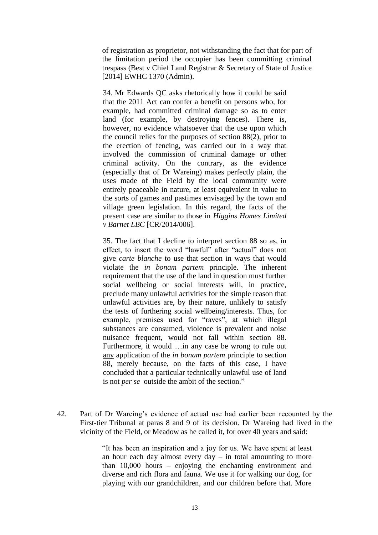of registration as proprietor, not withstanding the fact that for part of the limitation period the occupier has been committing criminal trespass (Best v Chief Land Registrar & Secretary of State of Justice [2014] EWHC 1370 (Admin).

34. Mr Edwards QC asks rhetorically how it could be said that the 2011 Act can confer a benefit on persons who, for example, had committed criminal damage so as to enter land (for example, by destroying fences). There is, however, no evidence whatsoever that the use upon which the council relies for the purposes of section 88(2), prior to the erection of fencing, was carried out in a way that involved the commission of criminal damage or other criminal activity. On the contrary, as the evidence (especially that of Dr Wareing) makes perfectly plain, the uses made of the Field by the local community were entirely peaceable in nature, at least equivalent in value to the sorts of games and pastimes envisaged by the town and village green legislation. In this regard, the facts of the present case are similar to those in *Higgins Homes Limited v Barnet LBC* [CR/2014/006].

35. The fact that I decline to interpret section 88 so as, in effect, to insert the word "lawful" after "actual" does not give *carte blanche* to use that section in ways that would violate the *in bonam partem* principle. The inherent requirement that the use of the land in question must further social wellbeing or social interests will, in practice, preclude many unlawful activities for the simple reason that unlawful activities are, by their nature, unlikely to satisfy the tests of furthering social wellbeing/interests. Thus, for example, premises used for "raves", at which illegal substances are consumed, violence is prevalent and noise nuisance frequent, would not fall within section 88. Furthermore, it would …in any case be wrong to rule out any application of the *in bonam partem* principle to section 88, merely because, on the facts of this case, I have concluded that a particular technically unlawful use of land is not *per se* outside the ambit of the section."

42. Part of Dr Wareing's evidence of actual use had earlier been recounted by the First-tier Tribunal at paras 8 and 9 of its decision. Dr Wareing had lived in the vicinity of the Field, or Meadow as he called it, for over 40 years and said:

> "It has been an inspiration and a joy for us. We have spent at least an hour each day almost every day – in total amounting to more than 10,000 hours – enjoying the enchanting environment and diverse and rich flora and fauna. We use it for walking our dog, for playing with our grandchildren, and our children before that. More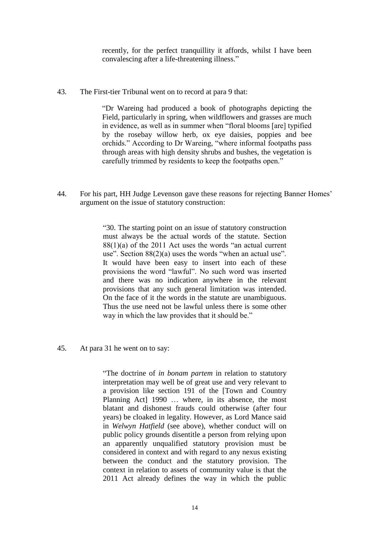recently, for the perfect tranquillity it affords, whilst I have been convalescing after a life-threatening illness."

43. The First-tier Tribunal went on to record at para 9 that:

"Dr Wareing had produced a book of photographs depicting the Field, particularly in spring, when wildflowers and grasses are much in evidence, as well as in summer when "floral blooms [are] typified by the rosebay willow herb, ox eye daisies, poppies and bee orchids." According to Dr Wareing, "where informal footpaths pass through areas with high density shrubs and bushes, the vegetation is carefully trimmed by residents to keep the footpaths open."

44. For his part, HH Judge Levenson gave these reasons for rejecting Banner Homes' argument on the issue of statutory construction:

> "30. The starting point on an issue of statutory construction must always be the actual words of the statute. Section  $88(1)(a)$  of the 2011 Act uses the words "an actual current" use". Section 88(2)(a) uses the words "when an actual use". It would have been easy to insert into each of these provisions the word "lawful". No such word was inserted and there was no indication anywhere in the relevant provisions that any such general limitation was intended. On the face of it the words in the statute are unambiguous. Thus the use need not be lawful unless there is some other way in which the law provides that it should be."

45. At para 31 he went on to say:

"The doctrine of *in bonam partem* in relation to statutory interpretation may well be of great use and very relevant to a provision like section 191 of the [Town and Country Planning Act] 1990 … where, in its absence, the most blatant and dishonest frauds could otherwise (after four years) be cloaked in legality. However, as Lord Mance said in *Welwyn Hatfield* (see above), whether conduct will on public policy grounds disentitle a person from relying upon an apparently unqualified statutory provision must be considered in context and with regard to any nexus existing between the conduct and the statutory provision. The context in relation to assets of community value is that the 2011 Act already defines the way in which the public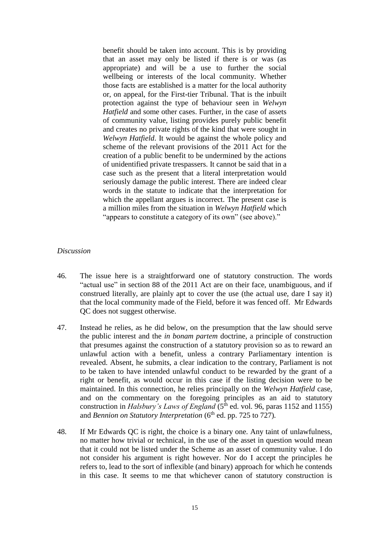benefit should be taken into account. This is by providing that an asset may only be listed if there is or was (as appropriate) and will be a use to further the social wellbeing or interests of the local community. Whether those facts are established is a matter for the local authority or, on appeal, for the First-tier Tribunal. That is the inbuilt protection against the type of behaviour seen in *Welwyn Hatfield* and some other cases. Further, in the case of assets of community value, listing provides purely public benefit and creates no private rights of the kind that were sought in *Welwyn Hatfield*. It would be against the whole policy and scheme of the relevant provisions of the 2011 Act for the creation of a public benefit to be undermined by the actions of unidentified private trespassers. It cannot be said that in a case such as the present that a literal interpretation would seriously damage the public interest. There are indeed clear words in the statute to indicate that the interpretation for which the appellant argues is incorrect. The present case is a million miles from the situation in *Welwyn Hatfield* which "appears to constitute a category of its own" (see above)."

## *Discussion*

- 46. The issue here is a straightforward one of statutory construction. The words "actual use" in section 88 of the 2011 Act are on their face, unambiguous, and if construed literally, are plainly apt to cover the use (the actual use, dare I say it) that the local community made of the Field, before it was fenced off. Mr Edwards QC does not suggest otherwise.
- 47. Instead he relies, as he did below, on the presumption that the law should serve the public interest and the *in bonam partem* doctrine, a principle of construction that presumes against the construction of a statutory provision so as to reward an unlawful action with a benefit, unless a contrary Parliamentary intention is revealed. Absent, he submits, a clear indication to the contrary, Parliament is not to be taken to have intended unlawful conduct to be rewarded by the grant of a right or benefit, as would occur in this case if the listing decision were to be maintained. In this connection, he relies principally on the *Welwyn Hatfield* case, and on the commentary on the foregoing principles as an aid to statutory construction in *Halsbury's Laws of England* (5<sup>th</sup> ed. vol. 96, paras 1152 and 1155) and *Bennion on Statutory Interpretation* (6<sup>th</sup> ed. pp. 725 to 727).
- 48. If Mr Edwards QC is right, the choice is a binary one. Any taint of unlawfulness, no matter how trivial or technical, in the use of the asset in question would mean that it could not be listed under the Scheme as an asset of community value. I do not consider his argument is right however. Nor do I accept the principles he refers to, lead to the sort of inflexible (and binary) approach for which he contends in this case. It seems to me that whichever canon of statutory construction is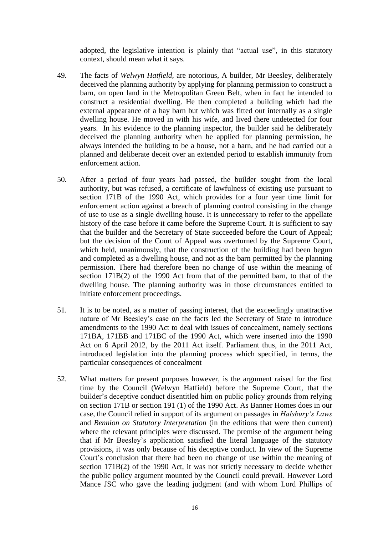adopted, the legislative intention is plainly that "actual use", in this statutory context, should mean what it says.

- 49. The facts of *Welwyn Hatfield,* are notorious, A builder, Mr Beesley, deliberately deceived the planning authority by applying for planning permission to construct a barn, on open land in the Metropolitan Green Belt, when in fact he intended to construct a residential dwelling. He then completed a building which had the external appearance of a hay barn but which was fitted out internally as a single dwelling house. He moved in with his wife, and lived there undetected for four years. In his evidence to the planning inspector, the builder said he deliberately deceived the planning authority when he applied for planning permission, he always intended the building to be a house, not a barn, and he had carried out a planned and deliberate deceit over an extended period to establish immunity from enforcement action.
- 50. After a period of four years had passed, the builder sought from the local authority, but was refused, a certificate of lawfulness of existing use pursuant to section 171B of the 1990 Act, which provides for a four year time limit for enforcement action against a breach of planning control consisting in the change of use to use as a single dwelling house. It is unnecessary to refer to the appellate history of the case before it came before the Supreme Court. It is sufficient to say that the builder and the Secretary of State succeeded before the Court of Appeal; but the decision of the Court of Appeal was overturned by the Supreme Court, which held, unanimously, that the construction of the building had been begun and completed as a dwelling house, and not as the barn permitted by the planning permission. There had therefore been no change of use within the meaning of section 171B(2) of the 1990 Act from that of the permitted barn, to that of the dwelling house. The planning authority was in those circumstances entitled to initiate enforcement proceedings.
- 51. It is to be noted, as a matter of passing interest, that the exceedingly unattractive nature of Mr Beesley's case on the facts led the Secretary of State to introduce amendments to the 1990 Act to deal with issues of concealment, namely sections 171BA, 171BB and 171BC of the 1990 Act, which were inserted into the 1990 Act on 6 April 2012, by the 2011 Act itself. Parliament thus, in the 2011 Act, introduced legislation into the planning process which specified, in terms, the particular consequences of concealment
- 52. What matters for present purposes however, is the argument raised for the first time by the Council (Welwyn Hatfield) before the Supreme Court, that the builder's deceptive conduct disentitled him on public policy grounds from relying on section 171B or section 191 (1) of the 1990 Act. As Banner Homes does in our case, the Council relied in support of its argument on passages in *Halsbury's Laws* and *Bennion on Statutory Interpretation* (in the editions that were then current) where the relevant principles were discussed. The premise of the argument being that if Mr Beesley's application satisfied the literal language of the statutory provisions, it was only because of his deceptive conduct. In view of the Supreme Court's conclusion that there had been no change of use within the meaning of section 171B(2) of the 1990 Act, it was not strictly necessary to decide whether the public policy argument mounted by the Council could prevail. However Lord Mance JSC who gave the leading judgment (and with whom Lord Phillips of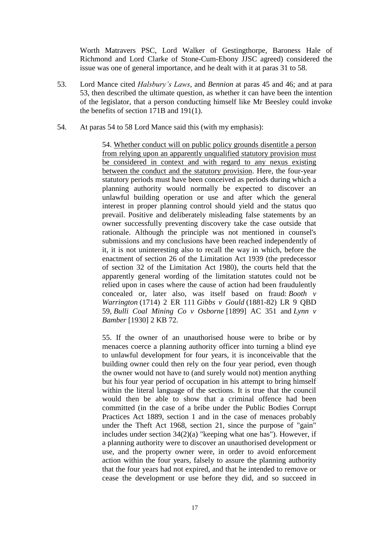Worth Matravers PSC, Lord Walker of Gestingthorpe, Baroness Hale of Richmond and Lord Clarke of Stone-Cum-Ebony JJSC agreed) considered the issue was one of general importance, and he dealt with it at paras 31 to 58.

- 53. Lord Mance cited *Halsbury's Laws*, and *Bennion* at paras 45 and 46; and at para 53, then described the ultimate question, as whether it can have been the intention of the legislator, that a person conducting himself like Mr Beesley could invoke the benefits of section 171B and 191(1).
- 54. At paras 54 to 58 Lord Mance said this (with my emphasis):

54. Whether conduct will on public policy grounds disentitle a person from relying upon an apparently unqualified statutory provision must be considered in context and with regard to any nexus existing between the conduct and the statutory provision. Here, the four-year statutory periods must have been conceived as periods during which a planning authority would normally be expected to discover an unlawful building operation or use and after which the general interest in proper planning control should yield and the status quo prevail. Positive and deliberately misleading false statements by an owner successfully preventing discovery take the case outside that rationale. Although the principle was not mentioned in counsel's submissions and my conclusions have been reached independently of it, it is not uninteresting also to recall the way in which, before the enactment of section 26 of the Limitation Act 1939 (the predecessor of section 32 of the Limitation Act 1980), the courts held that the apparently general wording of the limitation statutes could not be relied upon in cases where the cause of action had been fraudulently concealed or, later also, was itself based on fraud: *Booth v Warrington* (1714) 2 ER 111 *Gibbs v Gould* (1881-82) LR 9 QBD 59, *Bulli Coal Mining Co v Osborne* [1899] AC 351 and *Lynn v Bamber* [1930] 2 KB 72.

55. If the owner of an unauthorised house were to bribe or by menaces coerce a planning authority officer into turning a blind eye to unlawful development for four years, it is inconceivable that the building owner could then rely on the four year period, even though the owner would not have to (and surely would not) mention anything but his four year period of occupation in his attempt to bring himself within the literal language of the sections. It is true that the council would then be able to show that a criminal offence had been committed (in the case of a bribe under the Public Bodies Corrupt Practices Act 1889, section 1 and in the case of menaces probably under the Theft Act 1968, section 21, since the purpose of "gain" includes under section 34(2)(a) "keeping what one has"). However, if a planning authority were to discover an unauthorised development or use, and the property owner were, in order to avoid enforcement action within the four years, falsely to assure the planning authority that the four years had not expired, and that he intended to remove or cease the development or use before they did, and so succeed in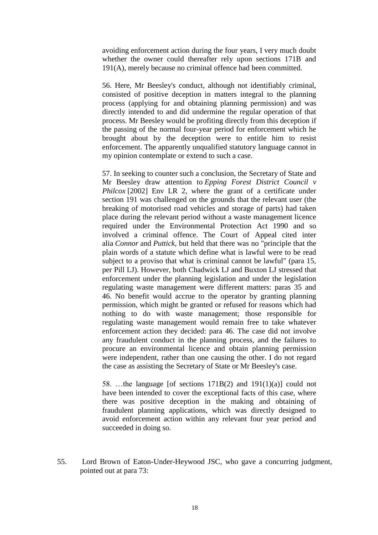avoiding enforcement action during the four years, I very much doubt whether the owner could thereafter rely upon sections 171B and 191(A), merely because no criminal offence had been committed.

56. Here, Mr Beesley's conduct, although not identifiably criminal, consisted of positive deception in matters integral to the planning process (applying for and obtaining planning permission) and was directly intended to and did undermine the regular operation of that process. Mr Beesley would be profiting directly from this deception if the passing of the normal four-year period for enforcement which he brought about by the deception were to entitle him to resist enforcement. The apparently unqualified statutory language cannot in my opinion contemplate or extend to such a case.

57. In seeking to counter such a conclusion, the Secretary of State and Mr Beesley draw attention to *Epping Forest District Council v Philcox* [2002] Env LR 2, where the grant of a certificate under section 191 was challenged on the grounds that the relevant user (the breaking of motorised road vehicles and storage of parts) had taken place during the relevant period without a waste management licence required under the Environmental Protection Act 1990 and so involved a criminal offence. The Court of Appeal cited inter alia *Connor* and *Puttick*, but held that there was no "principle that the plain words of a statute which define what is lawful were to be read subject to a proviso that what is criminal cannot be lawful" (para 15, per Pill LJ). However, both Chadwick LJ and Buxton LJ stressed that enforcement under the planning legislation and under the legislation regulating waste management were different matters: paras 35 and 46. No benefit would accrue to the operator by granting planning permission, which might be granted or refused for reasons which had nothing to do with waste management; those responsible for regulating waste management would remain free to take whatever enforcement action they decided: para 46. The case did not involve any fraudulent conduct in the planning process, and the failures to procure an environmental licence and obtain planning permission were independent, rather than one causing the other. I do not regard the case as assisting the Secretary of State or Mr Beesley's case.

58. …the language [of sections 171B(2) and 191(1)(a)] could not have been intended to cover the exceptional facts of this case, where there was positive deception in the making and obtaining of fraudulent planning applications, which was directly designed to avoid enforcement action within any relevant four year period and succeeded in doing so.

55. Lord Brown of Eaton-Under-Heywood JSC, who gave a concurring judgment, pointed out at para 73: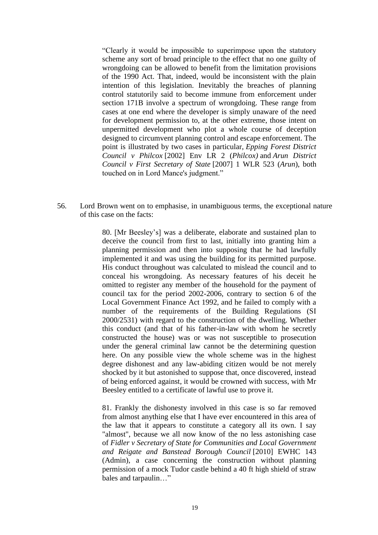"Clearly it would be impossible to superimpose upon the statutory scheme any sort of broad principle to the effect that no one guilty of wrongdoing can be allowed to benefit from the limitation provisions of the 1990 Act. That, indeed, would be inconsistent with the plain intention of this legislation. Inevitably the breaches of planning control statutorily said to become immune from enforcement under section 171B involve a spectrum of wrongdoing. These range from cases at one end where the developer is simply unaware of the need for development permission to, at the other extreme, those intent on unpermitted development who plot a whole course of deception designed to circumvent planning control and escape enforcement. The point is illustrated by two cases in particular, *Epping Forest District Council v Philcox* [2002] Env LR 2 (*Philcox)* and *Arun District Council v First Secretary of State* [2007] 1 WLR 523 (*Arun*), both touched on in Lord Mance's judgment."

56. Lord Brown went on to emphasise, in unambiguous terms, the exceptional nature of this case on the facts:

> 80. [Mr Beesley's] was a deliberate, elaborate and sustained plan to deceive the council from first to last, initially into granting him a planning permission and then into supposing that he had lawfully implemented it and was using the building for its permitted purpose. His conduct throughout was calculated to mislead the council and to conceal his wrongdoing. As necessary features of his deceit he omitted to register any member of the household for the payment of council tax for the period 2002-2006, contrary to section 6 of the Local Government Finance Act 1992, and he failed to comply with a number of the requirements of the Building Regulations (SI 2000/2531) with regard to the construction of the dwelling. Whether this conduct (and that of his father-in-law with whom he secretly constructed the house) was or was not susceptible to prosecution under the general criminal law cannot be the determining question here. On any possible view the whole scheme was in the highest degree dishonest and any law-abiding citizen would be not merely shocked by it but astonished to suppose that, once discovered, instead of being enforced against, it would be crowned with success, with Mr Beesley entitled to a certificate of lawful use to prove it.

> 81. Frankly the dishonesty involved in this case is so far removed from almost anything else that I have ever encountered in this area of the law that it appears to constitute a category all its own. I say "almost", because we all now know of the no less astonishing case of *Fidler v Secretary of State for Communities and Local Government and Reigate and Banstead Borough Council* [2010] EWHC 143 (Admin), a case concerning the construction without planning permission of a mock Tudor castle behind a 40 ft high shield of straw bales and tarpaulin…"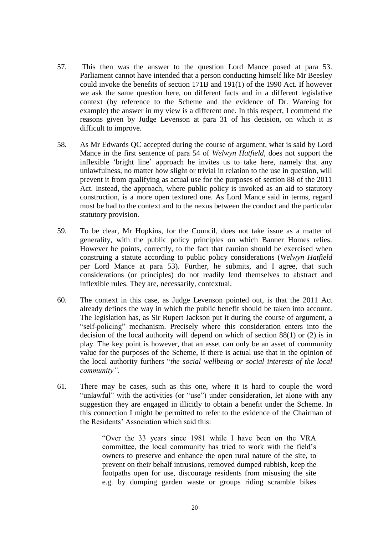- 57. This then was the answer to the question Lord Mance posed at para 53. Parliament cannot have intended that a person conducting himself like Mr Beesley could invoke the benefits of section 171B and 191(1) of the 1990 Act. If however we ask the same question here, on different facts and in a different legislative context (by reference to the Scheme and the evidence of Dr. Wareing for example) the answer in my view is a different one. In this respect, I commend the reasons given by Judge Levenson at para 31 of his decision, on which it is difficult to improve.
- 58. As Mr Edwards QC accepted during the course of argument, what is said by Lord Mance in the first sentence of para 54 of *Welwyn Hatfield,* does not support the inflexible 'bright line' approach he invites us to take here, namely that any unlawfulness, no matter how slight or trivial in relation to the use in question, will prevent it from qualifying as actual use for the purposes of section 88 of the 2011 Act. Instead, the approach, where public policy is invoked as an aid to statutory construction, is a more open textured one. As Lord Mance said in terms, regard must be had to the context and to the nexus between the conduct and the particular statutory provision.
- 59. To be clear, Mr Hopkins, for the Council, does not take issue as a matter of generality, with the public policy principles on which Banner Homes relies. However he points, correctly, to the fact that caution should be exercised when construing a statute according to public policy considerations (*Welwyn Hatfield* per Lord Mance at para 53). Further, he submits, and I agree, that such considerations (or principles) do not readily lend themselves to abstract and inflexible rules. They are, necessarily, contextual.
- 60. The context in this case, as Judge Levenson pointed out, is that the 2011 Act already defines the way in which the public benefit should be taken into account. The legislation has, as Sir Rupert Jackson put it during the course of argument, a "self-policing" mechanism. Precisely where this consideration enters into the decision of the local authority will depend on which of section 88(1) or (2) is in play. The key point is however, that an asset can only be an asset of community value for the purposes of the Scheme, if there is actual use that in the opinion of the local authority furthers "*the social wellbeing or social interests of the local community".*
- 61. There may be cases, such as this one, where it is hard to couple the word "unlawful" with the activities (or "use") under consideration, let alone with any suggestion they are engaged in illicitly to obtain a benefit under the Scheme. In this connection I might be permitted to refer to the evidence of the Chairman of the Residents' Association which said this:

"Over the 33 years since 1981 while I have been on the VRA committee, the local community has tried to work with the field's owners to preserve and enhance the open rural nature of the site, to prevent on their behalf intrusions, removed dumped rubbish, keep the footpaths open for use, discourage residents from misusing the site e.g. by dumping garden waste or groups riding scramble bikes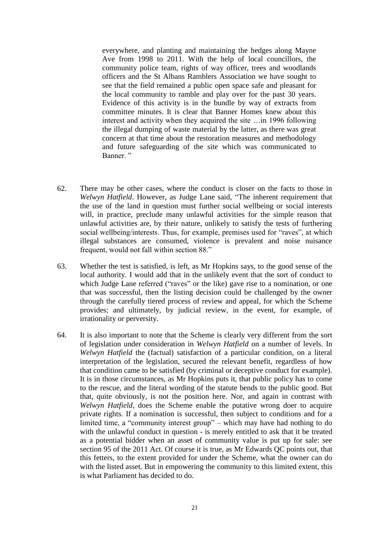everywhere, and planting and maintaining the hedges along Mayne Ave from 1998 to 2011. With the help of local councillors, the community police team, rights of way officer, trees and woodlands officers and the St Albans Ramblers Association we have sought to see that the field remained a public open space safe and pleasant for the local community to ramble and play over for the past 30 years. Evidence of this activity is in the bundle by way of extracts from committee minutes. It is clear that Banner Homes knew about this interest and activity when they acquired the site …in 1996 following the illegal dumping of waste material by the latter, as there was great concern at that time about the restoration measures and methodology and future safeguarding of the site which was communicated to Banner."

- 62. There may be other cases, where the conduct is closer on the facts to those in *Welwyn Hatfield*. However, as Judge Lane said, "The inherent requirement that the use of the land in question must further social wellbeing or social interests will, in practice, preclude many unlawful activities for the simple reason that unlawful activities are, by their nature, unlikely to satisfy the tests of furthering social wellbeing/interests. Thus, for example, premises used for "raves", at which illegal substances are consumed, violence is prevalent and noise nuisance frequent, would not fall within section 88."
- 63. Whether the test is satisfied, is left, as Mr Hopkins says, to the good sense of the local authority. I would add that in the unlikely event that the sort of conduct to which Judge Lane referred ("raves" or the like) gave rise to a nomination, or one that was successful, then the listing decision could be challenged by the owner through the carefully tiered process of review and appeal, for which the Scheme provides; and ultimately, by judicial review, in the event, for example, of irrationality or perversity.
- 64. It is also important to note that the Scheme is clearly very different from the sort of legislation under consideration in *Welwyn Hatfield* on a number of levels. In *Welwyn Hatfield* the (factual) satisfaction of a particular condition, on a literal interpretation of the legislation, secured the relevant benefit, regardless of how that condition came to be satisfied (by criminal or deceptive conduct for example). It is in those circumstances, as Mr Hopkins puts it, that public policy has to come to the rescue, and the literal wording of the statute bends to the public good. But that, quite obviously, is not the position here. Nor, and again in contrast with *Welwyn Hatfield,* does the Scheme enable the putative wrong doer to acquire private rights. If a nomination is successful, then subject to conditions and for a limited time, a "community interest group" – which may have had nothing to do with the unlawful conduct in question - is merely entitled to ask that it be treated as a potential bidder when an asset of community value is put up for sale: see section 95 of the 2011 Act. Of course it is true, as Mr Edwards QC points out, that this fetters, to the extent provided for under the Scheme, what the owner can do with the listed asset. But in empowering the community to this limited extent, this is what Parliament has decided to do.